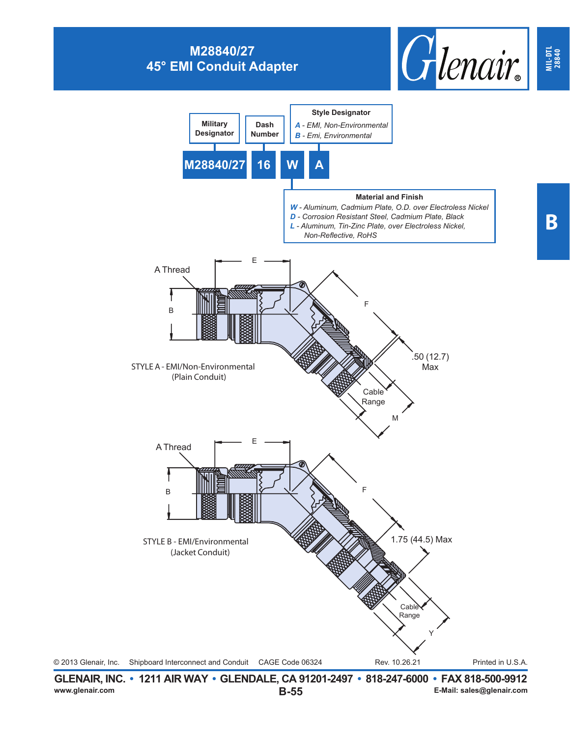## **M28840/27 45° EMI Conduit Adapter**





**MIL-DTL 28840**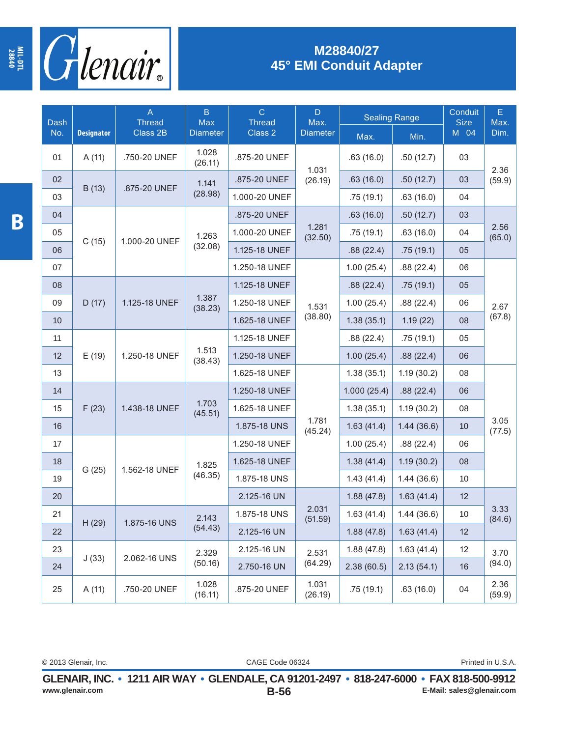

## **M28840/27 45° EMI Conduit Adapter**

| Dash | <b>Designator</b> | A<br><b>Thread</b><br>Class 2B | $\mathsf B$<br>Max<br><b>Diameter</b> | $\overline{C}$<br><b>Thread</b><br>Class 2 | D<br>Max.<br><b>Diameter</b> | <b>Sealing Range</b> |            | Conduit<br><b>Size</b> | E<br>Max.      |
|------|-------------------|--------------------------------|---------------------------------------|--------------------------------------------|------------------------------|----------------------|------------|------------------------|----------------|
| No.  |                   |                                |                                       |                                            |                              | Max.                 | Min.       | M 04                   | Dim.           |
| 01   | A(11)             | .750-20 UNEF                   | 1.028<br>(26.11)                      | .875-20 UNEF                               | 1.031                        | .63(16.0)            | .50(12.7)  | 03                     | 2.36           |
| 02   | B(13)             | .875-20 UNEF                   | 1.141<br>(28.98)                      | .875-20 UNEF                               | (26.19)                      | .63(16.0)            | .50(12.7)  | 03                     | (59.9)         |
| 03   |                   |                                |                                       | 1.000-20 UNEF                              |                              | .75(19.1)            | .63(16.0)  | 04                     |                |
| 04   | C(15)             | 1.000-20 UNEF                  | 1.263<br>(32.08)                      | .875-20 UNEF                               | 1.281<br>(32.50)             | .63(16.0)            | .50(12.7)  | 03                     | 2.56<br>(65.0) |
| 05   |                   |                                |                                       | 1.000-20 UNEF                              |                              | .75(19.1)            | .63(16.0)  | 04                     |                |
| 06   |                   |                                |                                       | 1.125-18 UNEF                              |                              | .88(22.4)            | .75(19.1)  | 05                     |                |
| 07   |                   |                                |                                       | 1.250-18 UNEF                              | 1.531<br>(38.80)             | 1.00(25.4)           | .88(22.4)  | 06                     | 2.67<br>(67.8) |
| 08   | D(17)             | 1.125-18 UNEF                  | 1.387<br>(38.23)                      | 1.125-18 UNEF                              |                              | .88(22.4)            | .75(19.1)  | 05                     |                |
| 09   |                   |                                |                                       | 1.250-18 UNEF                              |                              | 1.00(25.4)           | .88(22.4)  | 06                     |                |
| 10   |                   |                                |                                       | 1.625-18 UNEF                              |                              | 1.38(35.1)           | 1.19(22)   | 08                     |                |
| 11   | E(19)             | 1.250-18 UNEF                  | 1.513<br>(38.43)                      | 1.125-18 UNEF                              |                              | .88(22.4)            | .75(19.1)  | 05                     |                |
| 12   |                   |                                |                                       | 1.250-18 UNEF                              |                              | 1.00(25.4)           | .88(22.4)  | 06                     |                |
| 13   |                   |                                |                                       | 1.625-18 UNEF                              | 1.781<br>(45.24)             | 1.38(35.1)           | 1.19(30.2) | 08                     | 3.05<br>(77.5) |
| 14   | F(23)             | 1.438-18 UNEF                  | 1.703<br>(45.51)                      | 1.250-18 UNEF                              |                              | 1.000(25.4)          | .88(22.4)  | 06                     |                |
| 15   |                   |                                |                                       | 1.625-18 UNEF                              |                              | 1.38(35.1)           | 1.19(30.2) | 08                     |                |
| 16   |                   |                                |                                       | 1.875-18 UNS                               |                              | 1.63(41.4)           | 1.44(36.6) | 10                     |                |
| 17   | G(25)             | 1.562-18 UNEF                  | 1.825<br>(46.35)                      | 1.250-18 UNEF                              |                              | 1.00(25.4)           | .88(22.4)  | 06                     |                |
| 18   |                   |                                |                                       | 1.625-18 UNEF                              |                              | 1.38(41.4)           | 1.19(30.2) | 08                     |                |
| 19   |                   |                                |                                       | 1.875-18 UNS                               |                              | 1.43(41.4)           | 1.44(36.6) | 10                     |                |
| 20   |                   |                                |                                       | 2.125-16 UN                                | 2.031<br>(51.59)             | 1.88(47.8)           | 1.63(41.4) | 12                     | 3.33<br>(84.6) |
| 21   | H(29)             | 1.875-16 UNS                   | 2.143<br>(54.43)                      | 1.875-18 UNS                               |                              | 1.63(41.4)           | 1.44(36.6) | 10                     |                |
| 22   |                   |                                |                                       | 2.125-16 UN                                |                              | 1.88(47.8)           | 1.63(41.4) | 12                     |                |
| 23   | J(33)             | 2.062-16 UNS                   | 2.329<br>(50.16)                      | 2.125-16 UN                                | 2.531<br>(64.29)             | 1.88(47.8)           | 1.63(41.4) | 12                     | 3.70<br>(94.0) |
| 24   |                   |                                |                                       | 2.750-16 UN                                |                              | 2.38(60.5)           | 2.13(54.1) | 16                     |                |
| 25   | A(11)             | .750-20 UNEF                   | 1.028<br>(16.11)                      | .875-20 UNEF                               | 1.031<br>(26.19)             | .75 (19.1)           | .63(16.0)  | 04                     | 2.36<br>(59.9) |

**MIL-DTL 28840**

CAGE Code 06324 © 2013 Glenair, Inc. **Printed in U.S.A.** CAGE Code 06324 Printed in U.S.A.